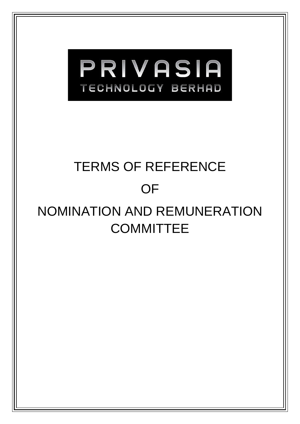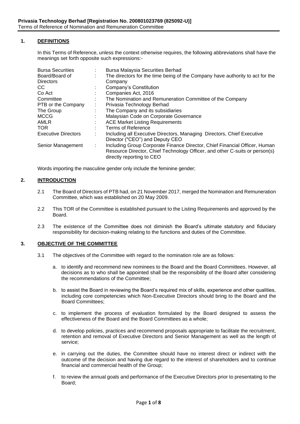# **1. DEFINITIONS**

In this Terms of Reference, unless the context otherwise requires, the following abbreviations shall have the meanings set forth opposite such expressions:-

| <b>Bursa Securities</b>    | <b>Bursa Malaysia Securities Berhad</b>                                                                                                                                                |
|----------------------------|----------------------------------------------------------------------------------------------------------------------------------------------------------------------------------------|
| Board/Board of             | The directors for the time being of the Company have authority to act for the                                                                                                          |
| <b>Directors</b>           | Company                                                                                                                                                                                |
| CС                         | Company's Constitution                                                                                                                                                                 |
| Co Act                     | Companies Act, 2016                                                                                                                                                                    |
| Committee                  | The Nomination and Remuneration Committee of the Company                                                                                                                               |
| PTB or the Company         | Privasia Technology Berhad                                                                                                                                                             |
| The Group                  | The Company and its subsidiaries                                                                                                                                                       |
| <b>MCCG</b>                | Malaysian Code on Corporate Governance                                                                                                                                                 |
| AMLR                       | <b>ACE Market Listing Requirements</b>                                                                                                                                                 |
| <b>TOR</b>                 | Terms of Reference                                                                                                                                                                     |
| <b>Executive Directors</b> | Including all Executive Directors, Managing Directors, Chief Executive<br>Director ("CEO") and Deputy CEO                                                                              |
| Senior Management          | Including Group Corporate Finance Director, Chief Financial Officer, Human<br>Resource Director, Chief Technology Officer, and other C-suits or person(s)<br>directly reporting to CEO |

Words importing the masculine gender only include the feminine gender;

# **2. INTRODUCTION**

- 2.1 The Board of Directors of PTB had, on 21 November 2017, merged the Nomination and Remuneration Committee, which was established on 20 May 2009.
- 2.2 This TOR of the Committee is established pursuant to the Listing Requirements and approved by the Board.
- 2.3 The existence of the Committee does not diminish the Board's ultimate statutory and fiduciary responsibility for decision-making relating to the functions and duties of the Committee.

#### **3. OBJECTIVE OF THE COMMITTEE**

- 3.1 The objectives of the Committee with regard to the nomination role are as follows:
	- a. to identify and recommend new nominees to the Board and the Board Committees. However, all decisions as to who shall be appointed shall be the responsibility of the Board after considering the recommendations of the Committee;
	- b. to assist the Board in reviewing the Board's required mix of skills, experience and other qualities, including core competencies which Non-Executive Directors should bring to the Board and the Board Committees;
	- c. to implement the process of evaluation formulated by the Board designed to assess the effectiveness of the Board and the Board Committees as a whole;
	- d. to develop policies, practices and recommend proposals appropriate to facilitate the recruitment, retention and removal of Executive Directors and Senior Management as well as the length of service;
	- e. in carrying out the duties, the Committee should have no interest direct or indirect with the outcome of the decision and having due regard to the interest of shareholders and to continue financial and commercial health of the Group;
	- f. to review the annual goals and performance of the Executive Directors prior to presentating to the Board;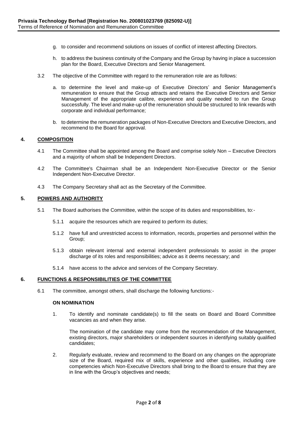- g. to consider and recommend solutions on issues of conflict of interest affecting Directors.
- h. to address the business continuity of the Company and the Group by having in place a succession plan for the Board, Executive Directors and Senior Management.
- 3.2 The objective of the Committee with regard to the remuneration role are as follows:
	- a. to determine the level and make-up of Executive Directors' and Senior Management's remuneration to ensure that the Group attracts and retains the Executive Directors and Senior Management of the appropriate calibre, experience and quality needed to run the Group successfully. The level and make-up of the remuneration should be structured to link rewards with corporate and individual performance;
	- b. to determine the remuneration packages of Non-Executive Directors and Executive Directors, and recommend to the Board for approval.

### **4. COMPOSITION**

- 4.1 The Committee shall be appointed among the Board and comprise solely Non Executive Directors and a majority of whom shall be Independent Directors.
- 4.2 The Committee's Chairman shall be an Independent Non-Executive Director or the Senior Independent Non-Executive Director.
- 4.3 The Company Secretary shall act as the Secretary of the Committee.

#### **5. POWERS AND AUTHORITY**

- 5.1 The Board authorises the Committee, within the scope of its duties and responsibilities, to:-
	- 5.1.1 acquire the resources which are required to perform its duties;
	- 5.1.2 have full and unrestricted access to information, records, properties and personnel within the Group;
	- 5.1.3 obtain relevant internal and external independent professionals to assist in the proper discharge of its roles and responsibilities; advice as it deems necessary; and
	- 5.1.4 have access to the advice and services of the Company Secretary.

### **6. FUNCTIONS & RESPONSIBILITIES OF THE COMMITTEE**

6.1 The committee, amongst others, shall discharge the following functions:-

#### **ON NOMINATION**

1. To identify and nominate candidate(s) to fill the seats on Board and Board Committee vacancies as and when they arise.

The nomination of the candidate may come from the recommendation of the Management, existing directors, major shareholders or independent sources in identifying suitably qualified candidates;

2. Regularly evaluate, review and recommend to the Board on any changes on the appropriate size of the Board, required mix of skills, experience and other qualities, including core competencies which Non-Executive Directors shall bring to the Board to ensure that they are in line with the Group's objectives and needs;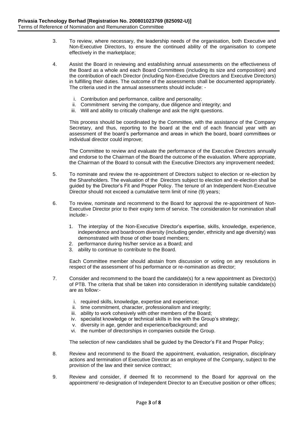- 3. To review, where necessary, the leadership needs of the organisation, both Executive and Non-Executive Directors, to ensure the continued ability of the organisation to compete effectively in the marketplace;
- 4. Assist the Board in reviewing and establishing annual assessments on the effectiveness of the Board as a whole and each Board Committees (including its size and composition) and the contribution of each Director (including Non-Executive Directors and Executive Directors) in fulfilling their duties. The outcome of the assessments shall be documented appropriately. The criteria used in the annual assessments should include:
	- i. Contribution and performance, calibre and personality;
	- ii. Commitment serving the company, due diligence and integrity; and
	- iii. Will and ability to critically challenge and ask the right questions.

This process should be coordinated by the Committee, with the assistance of the Company Secretary, and thus, reporting to the board at the end of each financial year with an assessment of the board's performance and areas in which the board, board committees or individual director could improve;

The Committee to review and evaluate the performance of the Executive Directors annually and endorse to the Chairman of the Board the outcome of the evaluation. Where appropriate, the Chairman of the Board to consult with the Executive Directors any improvement needed;

- 5. To nominate and review the re-appointment of Directors subject to election or re-election by the Shareholders. The evaluation of the Directors subject to election and re-election shall be guided by the Director's Fit and Proper Policy. The tenure of an Independent Non-Executive Director should not exceed a cumulative term limit of nine (9) years;
- 6. To review, nominate and recommend to the Board for approval the re-appointment of Non-Executive Director prior to their expiry term of service. The consideration for nomination shall include:-
	- 1. The interplay of the Non-Executive Director's expertise, skills, knowledge, experience, independence and boardroom diversity (including gender, ethnicity and age diversity) was demonstrated with those of other board members;
	- 2. performance during his/her service as a Board; and
	- 3. ability to continue to contribute to the Board.

Each Committee member should abstain from discussion or voting on any resolutions in respect of the assessment of his performance or re-nomination as director;

- 7. Consider and recommend to the board the candidate(s) for a new appointment as Director(s) of PTB. The criteria that shall be taken into consideration in identifying suitable candidate(s) are as follow:
	- i. required skills, knowledge, expertise and experience;
	- ii. time commitment, character, professionalism and integrity;
	- iii. ability to work cohesively with other members of the Board:
	- iv. specialist knowledge or technical skills in line with the Group's strategy;
	- v. diversity in age, gender and experience/background; and
	- vi. the number of directorships in companies outside the Group.

The selection of new candidates shall be guided by the Director's Fit and Proper Policy;

- 8. Review and recommend to the Board the appointment, evaluation, resignation, disciplinary actions and termination of Executive Director as an employee of the Company, subject to the provision of the law and their service contract;
- 9. Review and consider, if deemed fit to recommend to the Board for approval on the appointment/ re-designation of Independent Director to an Executive position or other offices;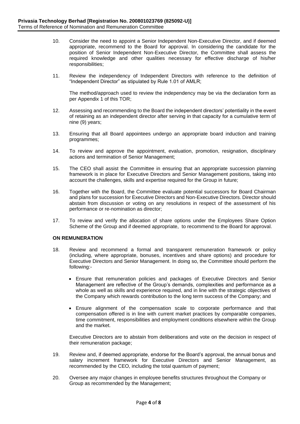- 10. Consider the need to appoint a Senior Independent Non-Executive Director, and if deemed appropriate, recommend to the Board for approval. In considering the candidate for the position of Senior Independent Non-Executive Director, the Committee shall assess the required knowledge and other qualities necessary for effective discharge of his/her responsibilities;
- 11. Review the independency of Independent Directors with reference to the definition of "Independent Director" as stipulated by Rule 1.01 of AMLR;

The method/approach used to review the independency may be via the declaration form as per Appendix 1 of this TOR;

- 12. Assessing and recommending to the Board the independent directors' potentiality in the event of retaining as an independent director after serving in that capacity for a cumulative term of nine (9) years;
- 13. Ensuring that all Board appointees undergo an appropriate board induction and training programmes;
- 14. To review and approve the appointment, evaluation, promotion, resignation, disciplinary actions and termination of Senior Management;
- 15. The CEO shall assist the Committee in ensuring that an appropriate succession planning framework is in place for Executive Directors and Senior Management positions, taking into account the challenges, skills and expertise required for the Group in future;
- 16. Together with the Board, the Committee evaluate potential successors for Board Chairman and plans for succession for Executive Directors and Non-Executive Directors. Director should abstain from discussion or voting on any resolutions in respect of the assessment of his performance or re-nomination as director;
- 17. To review and verify the allocation of share options under the Employees Share Option Scheme of the Group and if deemed appropriate, to recommend to the Board for approval.

# **ON REMUNERATION**

- 18. Review and recommend a formal and transparent remuneration framework or policy (including, where appropriate, bonuses, incentives and share options) and procedure for Executive Directors and Senior Management. In doing so, the Committee should perform the following:-
	- Ensure that remuneration policies and packages of Executive Directors and Senior Management are reflective of the Group's demands, complexities and performance as a whole as well as skills and experience required, and in line with the strategic objectives of the Company which rewards contribution to the long term success of the Company; and
	- Ensure alignment of the compensation scale to corporate performance and that compensation offered is in line with current market practices by comparable companies, time commitment, responsibilities and employment conditions elsewhere within the Group and the market.

Executive Directors are to abstain from deliberations and vote on the decision in respect of their remuneration package;

- 19. Review and, if deemed appropriate, endorse for the Board's approval, the annual bonus and salary increment framework for Executive Directors and Senior Management, as recommended by the CEO, including the total quantum of payment;
- 20. Oversee any major changes in employee benefits structures throughout the Company or Group as recommended by the Management;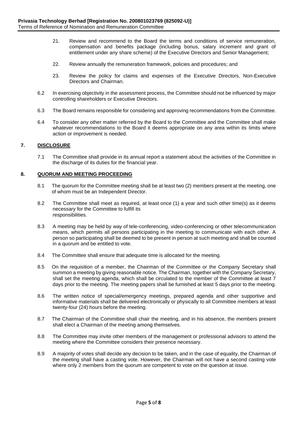- 21. Review and recommend to the Board the terms and conditions of service remuneration, compensation and benefits package (including bonus, salary increment and grant of entitlement under any share scheme) of the Executive Directors and Senior Management;
- 22. Review annually the remuneration framework, policies and procedures; and
- 23. Review the policy for claims and expenses of the Executive Directors, Non-Executive Directors and Chairman.
- 6.2 In exercising objectivity in the assessment process, the Committee should not be influenced by major controlling shareholders or Executive Directors.
- 6.3 The Board remains responsible for considering and approving recommendations from the Committee.
- 6.4 To consider any other matter referred by the Board to the Committee and the Committee shall make whatever recommendations to the Board it deems appropriate on any area within its limits where action or improvement is needed.

# **7. DISCLOSURE**

7.1 The Committee shall provide in its annual report a statement about the activities of the Committee in the discharge of its duties for the financial year.

### **8. QUORUM AND MEETING PROCEEDING**

- 8.1 The quorum for the Committee meeting shall be at least two (2) members present at the meeting, one of whom must be an Independent Director.
- 8.2 The Committee shall meet as required, at least once (1) a year and such other time(s) as it deems necessary for the Committee to fulfill its responsibilities.
- 8.3 A meeting may be held by way of tele-conferencing, video-conferencing or other telecommunication means, which permits all persons participating in the meeting to communicate with each other. A person so participating shall be deemed to be present in person at such meeting and shall be counted in a quorum and be entitled to vote.
- 8.4 The Committee shall ensure that adequate time is allocated for the meeting.
- 8.5 On the requisition of a member, the Chairman of the Committee or the Company Secretary shall summon a meeting by giving reasonable notice. The Chairman, together with the Company Secretary, shall set the meeting agenda, which shall be circulated to the member of the Committee at least 7 days prior to the meeting. The meeting papers shall be furnished at least 5 days prior to the meeting.
- 8.6 The written notice of special/emergency meetings, prepared agenda and other supportive and informative materials shall be delivered electronically or physically to all Committee members at least twenty-four (24) hours before the meeting.
- 8.7 The Chairman of the Committee shall chair the meeting, and in his absence, the members present shall elect a Chairman of the meeting among themselves.
- 8.8 The Committee may invite other members of the management or professional advisors to attend the meeting where the Committee considers their presence necessary.
- 8.9 A majority of votes shall decide any decision to be taken, and in the case of equality, the Chairman of the meeting shall have a casting vote. However, the Chairman will not have a second casting vote where only 2 members from the quorum are competent to vote on the question at issue.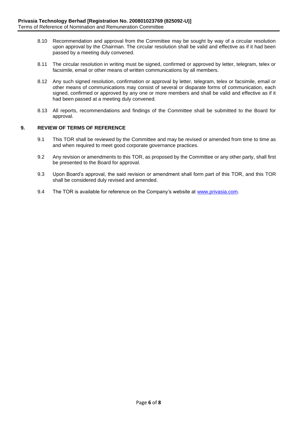- 8.10 Recommendation and approval from the Committee may be sought by way of a circular resolution upon approval by the Chairman. The circular resolution shall be valid and effective as if it had been passed by a meeting duly convened.
- 8.11 The circular resolution in writing must be signed, confirmed or approved by letter, telegram, telex or facsimile, email or other means of written communications by all members.
- 8.12 Any such signed resolution, confirmation or approval by letter, telegram, telex or facsimile, email or other means of communications may consist of several or disparate forms of communication, each signed, confirmed or approved by any one or more members and shall be valid and effective as if it had been passed at a meeting duly convened.
- 8.13 All reports, recommendations and findings of the Committee shall be submitted to the Board for approval.

# **9. REVIEW OF TERMS OF REFERENCE**

- 9.1 This TOR shall be reviewed by the Committee and may be revised or amended from time to time as and when required to meet good corporate governance practices.
- 9.2 Any revision or amendments to this TOR, as proposed by the Committee or any other party, shall first be presented to the Board for approval.
- 9.3 Upon Board's approval, the said revision or amendment shall form part of this TOR, and this TOR shall be considered duly revised and amended.
- 9.4 The TOR is available for reference on the Company's website at [www.privasia.com.](http://www.privasia.com/)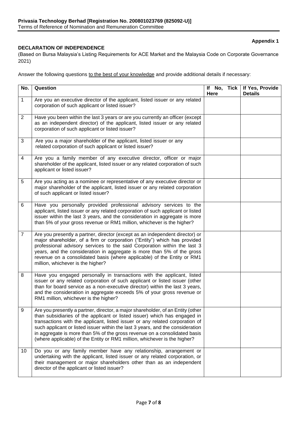# **Appendix 1**

# **DECLARATION OF INDEPENDENCE**

(Based on Bursa Malaysia's Listing Requirements for ACE Market and the Malaysia Code on Corporate Governance 2021)

Answer the following questions to the best of your knowledge and provide additional details if necessary:

| No.            | Question                                                                                                                                                                                                                                                                                                                                                                                                                                                                                 | If No, Tick<br>Here | If Yes, Provide<br><b>Details</b> |
|----------------|------------------------------------------------------------------------------------------------------------------------------------------------------------------------------------------------------------------------------------------------------------------------------------------------------------------------------------------------------------------------------------------------------------------------------------------------------------------------------------------|---------------------|-----------------------------------|
| $\mathbf{1}$   | Are you an executive director of the applicant, listed issuer or any related<br>corporation of such applicant or listed issuer?                                                                                                                                                                                                                                                                                                                                                          |                     |                                   |
| $\overline{2}$ | Have you been within the last 3 years or are you currently an officer (except<br>as an independent director) of the applicant, listed issuer or any related<br>corporation of such applicant or listed issuer?                                                                                                                                                                                                                                                                           |                     |                                   |
| 3              | Are you a major shareholder of the applicant, listed issuer or any<br>related corporation of such applicant or listed issuer?                                                                                                                                                                                                                                                                                                                                                            |                     |                                   |
| 4              | Are you a family member of any executive director, officer or major<br>shareholder of the applicant, listed issuer or any related corporation of such<br>applicant or listed issuer?                                                                                                                                                                                                                                                                                                     |                     |                                   |
| 5              | Are you acting as a nominee or representative of any executive director or<br>major shareholder of the applicant, listed issuer or any related corporation<br>of such applicant or listed issuer?                                                                                                                                                                                                                                                                                        |                     |                                   |
| 6              | Have you personally provided professional advisory services to the<br>applicant, listed issuer or any related corporation of such applicant or listed<br>issuer within the last 3 years, and the consideration in aggregate is more<br>than 5% of your gross revenue or RM1 million, whichever is the higher?                                                                                                                                                                            |                     |                                   |
| $\overline{7}$ | Are you presently a partner, director (except as an independent director) or<br>major shareholder, of a firm or corporation ("Entity") which has provided<br>professional advisory services to the said Corporation within the last 3<br>years, and the consideration in aggregate is more than 5% of the gross<br>revenue on a consolidated basis (where applicable) of the Entity or RM1<br>million, whichever is the higher?                                                          |                     |                                   |
| 8              | Have you engaged personally in transactions with the applicant, listed<br>issuer or any related corporation of such applicant or listed issuer (other<br>than for board service as a non-executive director) within the last 3 years,<br>and the consideration in aggregate exceeds 5% of your gross revenue or<br>RM1 million, whichever is the higher?                                                                                                                                 |                     |                                   |
| 9              | Are you presently a partner, director, a major shareholder, of an Entity (other<br>than subsidiaries of the applicant or listed issuer) which has engaged in<br>transactions with the applicant, listed issuer or any related corporation of<br>such applicant or listed issuer within the last 3 years, and the consideration<br>in aggregate is more than 5% of the gross revenue on a consolidated basis<br>(where applicable) of the Entity or RM1 million, whichever is the higher? |                     |                                   |
| 10             | Do you or any family member have any relationship, arrangement or<br>undertaking with the applicant, listed issuer or any related corporation, or<br>their management or major shareholders other than as an independent<br>director of the applicant or listed issuer?                                                                                                                                                                                                                  |                     |                                   |